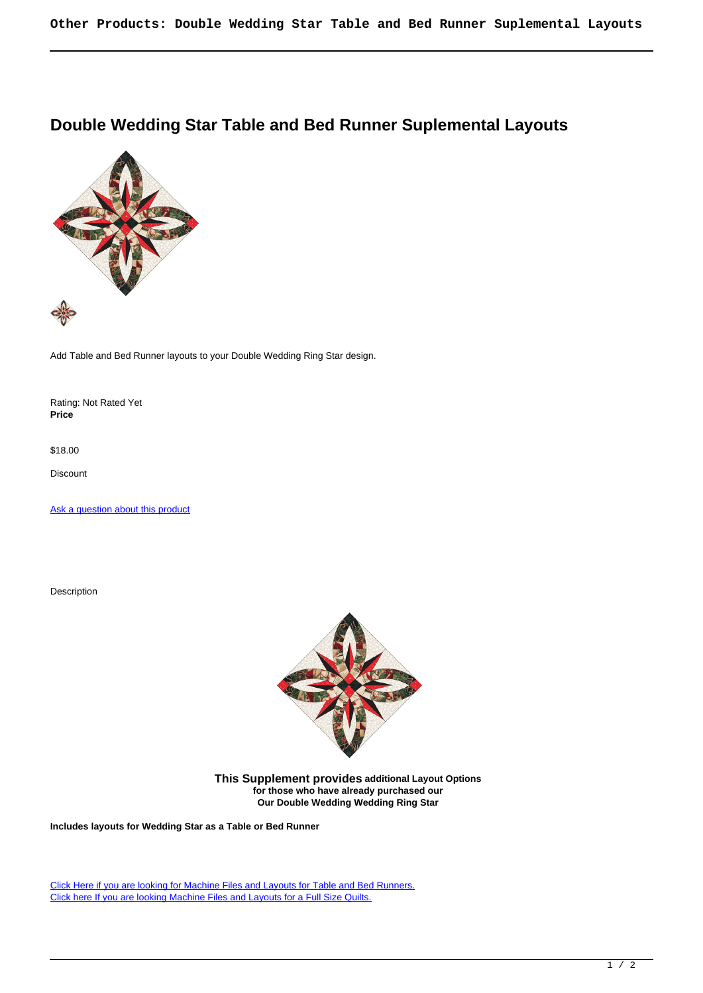## **Double Wedding Star Table and Bed Runner Suplemental Layouts**



Add Table and Bed Runner layouts to your Double Wedding Ring Star design.

Rating: Not Rated Yet **Price** 

\$18.00

Discount

[Ask a question about this product](https://www.queenofstitching.com/index.php?option=com_virtuemart&view=productdetails&task=askquestion&virtuemart_product_id=617&virtuemart_category_id=10&tmpl=component)

Description



**This Supplement provides additional Layout Options for those who have already purchased our Our Double Wedding Wedding Ring Star**

**Includes layouts for Wedding Star as a Table or Bed Runner**

[Click Here if you are looking for Machine Files and Layouts for Table and Bed Runners.](https://www.queenofstitching.com/palace-store/double-wedding-ring-and-stars/double-wedding-ring-star-597-detail) [Click here If you are looking Machine Files and Layouts for a Full Size Quilts.](https://www.queenofstitching.com/palace-store/double-wedding-ring-and-stars/double-wedding-ring-star-detail)